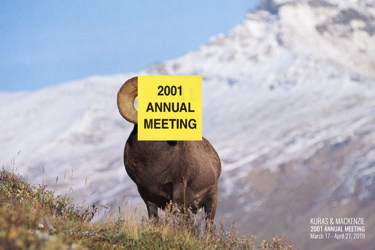## 2001 **ANNUAL MEETING**

KURAS & MACKENZIE<br>2001 ANNUAL MEETING<br>March 17 - April 27, 2019